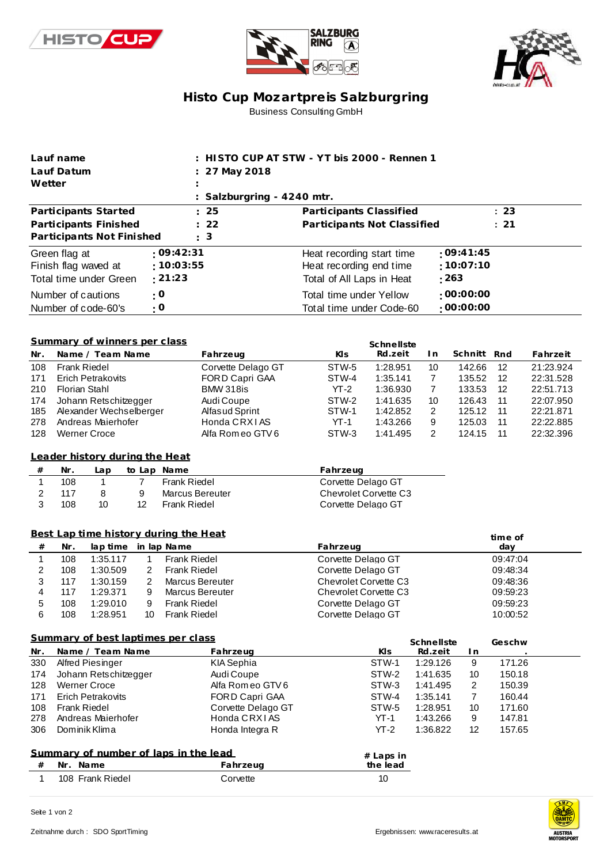





## **Histo Cup Mozartpre is Salzburgring** Business Consulting GmbH

| Lauf name                                                  |                                                                                    |                      | : HISTO CUP AT STW - YT bis 2000 - Rennen 1 |                                             |                                      |                      |                      |                      |                        |  |
|------------------------------------------------------------|------------------------------------------------------------------------------------|----------------------|---------------------------------------------|---------------------------------------------|--------------------------------------|----------------------|----------------------|----------------------|------------------------|--|
| Lauf Datum                                                 |                                                                                    |                      | 27 May 2018                                 |                                             |                                      |                      |                      |                      |                        |  |
| Wetter                                                     |                                                                                    |                      |                                             |                                             |                                      |                      |                      |                      |                        |  |
|                                                            |                                                                                    |                      | Salzburgring - 4240 mtr.                    |                                             |                                      |                      |                      |                      |                        |  |
| 25<br>Participants Started                                 |                                                                                    |                      | Participants Classified                     |                                             |                                      |                      | : 23                 |                      |                        |  |
| 22<br>Participants Finished                                |                                                                                    |                      |                                             | Participants Not Classified                 |                                      |                      | : 21                 |                      |                        |  |
|                                                            | Participants Not Finished                                                          |                      | 3                                           |                                             |                                      |                      |                      |                      |                        |  |
| :09:42:31<br>Green flag at                                 |                                                                                    |                      |                                             | Heat recording start time                   |                                      |                      | :09:41:45            |                      |                        |  |
| Finish flag waved at                                       |                                                                                    |                      | :10:03:55                                   |                                             | :10:07:10<br>Heat recording end time |                      |                      |                      |                        |  |
| Total time under Green                                     |                                                                                    | : 21:23              |                                             |                                             | : 263<br>Total of All Laps in Heat   |                      |                      |                      |                        |  |
| Number of cautions                                         |                                                                                    | $\cdot$ O            |                                             | Total time under Yellow<br>:00:00:00        |                                      |                      |                      |                      |                        |  |
| Number of code-60's                                        |                                                                                    | : 0                  |                                             | :00:00:00<br>Total time under Code-60       |                                      |                      |                      |                      |                        |  |
|                                                            |                                                                                    |                      |                                             |                                             |                                      |                      |                      |                      |                        |  |
|                                                            |                                                                                    |                      |                                             |                                             |                                      |                      |                      |                      |                        |  |
| Summary of winners per class<br>Schnellste                 |                                                                                    |                      |                                             |                                             |                                      |                      |                      |                      |                        |  |
| Nr.                                                        | Name / Team Name                                                                   |                      | Fahrzeug                                    | KIs                                         | Rd.zeit                              | I n                  | Schnitt              | Rnd                  | Fahrzeit               |  |
| 108                                                        | <b>Frank Riedel</b>                                                                |                      | Corvette Delago GT                          | STW-5                                       | 1:28.951                             | 10                   | 142.66               | 12                   | 21:23.924              |  |
| 171                                                        | <b>Erich Petrakovits</b>                                                           |                      | FORD Capri GAA                              | STW-4                                       | 1:35.141                             | $\overline{7}$       | 135.52               | 12                   | 22:31.528              |  |
| 210                                                        | <b>Florian Stahl</b>                                                               |                      | <b>BMW 318is</b>                            | $YT-2$<br>STW-2                             | 1:36.930                             | $\overline{7}$       | 133.53<br>126.43     | 12                   | 22:51.713              |  |
| 174<br>185                                                 | Johann Retschitzegger<br>Alexander Wechselberger                                   |                      | Audi Coupe<br>Alfasud Sprint                | STW-1                                       | 1:41.635<br>1:42.852                 | 10<br>$\overline{2}$ | 125.12               | 11<br>11             | 22:07.950<br>22:21.871 |  |
| 278                                                        | Andreas Maierhofer                                                                 |                      | Honda CRXIAS                                | $YT-1$                                      | 1:43.266                             | 9                    | 125.03               | 11                   | 22:22.885              |  |
| 128                                                        | <b>Werner Croce</b>                                                                |                      | Alfa Rom eo GTV 6                           | STW-3                                       | 1:41.495                             | 2                    | 124.15               | 11                   | 22:32.396              |  |
|                                                            |                                                                                    |                      |                                             |                                             |                                      |                      |                      |                      |                        |  |
| Leader history during the Heat                             |                                                                                    |                      |                                             |                                             |                                      |                      |                      |                      |                        |  |
| #                                                          | Nr.<br>Lap                                                                         | to Lap Name          |                                             | Fahrzeug                                    |                                      |                      |                      |                      |                        |  |
| $\mathbf{1}$                                               | $\overline{7}$<br>108<br>1<br><b>Frank Riedel</b>                                  |                      | Corvette Delago GT                          |                                             |                                      |                      |                      |                      |                        |  |
| $\boldsymbol{2}$                                           | 117<br>8                                                                           | 9<br>Marcus Bereuter |                                             |                                             | <b>Chevrolet Corvette C3</b>         |                      |                      |                      |                        |  |
| 3                                                          | 108<br>10<br>12<br><b>Frank Riedel</b><br>Corvette Delago GT                       |                      |                                             |                                             |                                      |                      |                      |                      |                        |  |
|                                                            |                                                                                    |                      |                                             |                                             |                                      |                      |                      |                      |                        |  |
| Best Lap time history during the Heat                      |                                                                                    |                      |                                             |                                             |                                      |                      |                      | time of              |                        |  |
| $^{\#}$                                                    | Nr.<br>in lap Name<br>lap time                                                     |                      | Fahrzeug                                    |                                             |                                      |                      | day                  |                      |                        |  |
| 1                                                          | 1:35.117<br>108<br><b>Frank Riedel</b><br>$\mathbf{1}$<br>2<br><b>Frank Riedel</b> |                      | Corvette Delago GT                          |                                             |                                      |                      | 09:47:04             |                      |                        |  |
| 2<br>3                                                     | 108<br>1:30.509<br>2<br>117<br>1:30.159                                            |                      | <b>Marcus Bereuter</b>                      | Corvette Delago GT<br>Chevrolet Corvette C3 |                                      |                      |                      | 09:48:34<br>09:48:36 |                        |  |
| 4                                                          | 9<br>117<br>1:29.371                                                               |                      | <b>Marcus Bereuter</b>                      | <b>Chevrolet Corvette C3</b>                |                                      |                      |                      | 09:59:23             |                        |  |
| 5                                                          | 9<br>108<br>1:29.010                                                               | <b>Frank Riedel</b>  |                                             |                                             | Corvette Delago GT                   |                      |                      | 09:59:23             |                        |  |
| 6                                                          | 1:28.951<br>108<br>10<br>Frank Riedel                                              |                      | Corvette Delago GT                          |                                             |                                      | 10:00:52             |                      |                      |                        |  |
|                                                            |                                                                                    |                      |                                             |                                             |                                      |                      |                      |                      |                        |  |
| Summary of best laptimes per class<br>Schnellste<br>Geschw |                                                                                    |                      |                                             |                                             |                                      |                      |                      |                      |                        |  |
| Nr.                                                        | Name / Team Name                                                                   |                      | Fahrzeug                                    |                                             | KIs                                  | Rd.zeit              | I n                  |                      |                        |  |
| 330                                                        | Alfred Piesinger                                                                   |                      | KIA Sephia                                  |                                             | STW-1                                | 1:29.126             | 9                    | 171.26               |                        |  |
| 174                                                        | Johann Retschitzegger                                                              |                      | Audi Coupe                                  |                                             | STW-2                                | 1:41.635             | 10                   | 150.18               |                        |  |
| 128                                                        | <b>Werner Croce</b>                                                                |                      | Alfa Rom eo GTV 6                           |                                             | STW-3                                | 1:41.495             | $\overline{c}$       | 150.39               |                        |  |
| 171<br>108                                                 | <b>Erich Petrakovits</b><br><b>Frank Riedel</b>                                    |                      | FORD Capri GAA<br>Corvette Delago GT        |                                             | STW-4<br>STW-5                       | 1:35.141<br>1:28.951 | $\overline{7}$<br>10 | 160.44<br>171.60     |                        |  |
| 278                                                        | Andreas Maierhofer                                                                 |                      | Honda CRXIAS                                |                                             | $YT-1$                               | 1:43.266             | 9                    | 147.81               |                        |  |
| 306                                                        | Dominik Klima                                                                      |                      | Honda Integra R                             |                                             | $YT-2$                               | 1:36.822             | 12                   | 157.65               |                        |  |
|                                                            |                                                                                    |                      |                                             |                                             |                                      |                      |                      |                      |                        |  |
| Summary of number of laps in the lead<br>$#$ Laps in       |                                                                                    |                      |                                             |                                             |                                      |                      |                      |                      |                        |  |
| $\#$                                                       | Nr. Name                                                                           | Fahrzeug             |                                             | the lead                                    |                                      |                      |                      |                      |                        |  |
| $\mathbf{1}$                                               | 108 Frank Riedel                                                                   |                      | Corvette                                    |                                             | 10                                   |                      |                      |                      |                        |  |

**AME REAL PROPERTY** AUSTRIA<br>MOTORSPORT